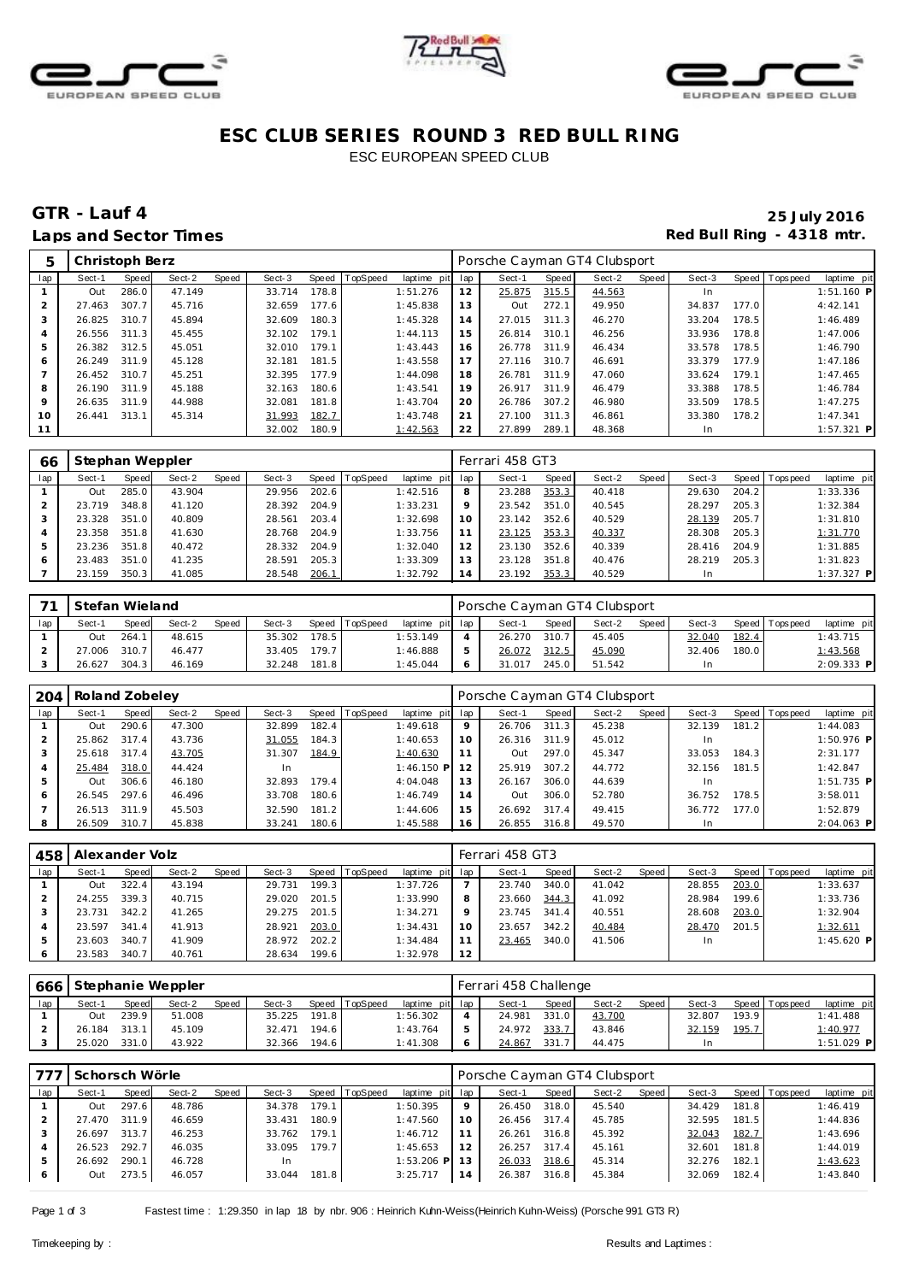





## **ESC CLUB SERIES ROUND 3 RED BULL RING** ESC EUROPEAN SPEED CLUB

## **GTR - Lauf 4 25 July 2016** Laps and Sector Times **Red Bull Ring - 4318 mtr.**

| 5              | Christoph Berz |       |        |       |        |       |                |                 |    | Porsche Cayman GT4 Clubsport |       |        |       |        |       |                 |              |
|----------------|----------------|-------|--------|-------|--------|-------|----------------|-----------------|----|------------------------------|-------|--------|-------|--------|-------|-----------------|--------------|
| lap            | Sect-1         | Speed | Sect-2 | Speed | Sect-3 |       | Speed TopSpeed | laptime pit lap |    | Sect-1                       | Speed | Sect-2 | Speed | Sect-3 |       | Speed Tops peed | laptime pit  |
|                | Out            | 286.0 | 47.149 |       | 33.714 | 178.8 |                | 1:51.276        | 12 | 25.875                       | 315.5 | 44.563 |       | In.    |       |                 | $1:51.160$ P |
|                | 27.463         | 307.7 | 45.716 |       | 32.659 | 177.6 |                | 1:45.838        | 13 | Out                          | 272.1 | 49.950 |       | 34.837 | 177.0 |                 | 4:42.141     |
| 3              | 26.825         | 310.7 | 45.894 |       | 32.609 | 180.3 |                | 1:45.328        | 14 | 27.015                       | 311.3 | 46.270 |       | 33.204 | 178.5 |                 | 1:46.489     |
| $\overline{A}$ | 26.556 311.3   |       | 45.455 |       | 32.102 | 179.1 |                | 1:44.113        | 15 | 26.814                       | 310.1 | 46.256 |       | 33.936 | 178.8 |                 | 1:47.006     |
| 5              | 26.382 312.5   |       | 45.051 |       | 32.010 | 179.1 |                | 1:43.443        | 16 | 26.778                       | 311.9 | 46.434 |       | 33.578 | 178.5 |                 | 1:46.790     |
| 6              | 26.249 311.9   |       | 45.128 |       | 32.181 | 181.5 |                | 1:43.558        | 17 | 27.116                       | 310.7 | 46.691 |       | 33.379 | 177.9 |                 | 1:47.186     |
|                | 26.452 310.7   |       | 45.251 |       | 32.395 | 177.9 |                | 1:44.098        | 18 | 26.781                       | 311.9 | 47.060 |       | 33.624 | 179.1 |                 | 1:47.465     |
| 8              | 26.190         | 311.9 | 45.188 |       | 32.163 | 180.6 |                | 1:43.541        | 19 | 26.917                       | 311.9 | 46.479 |       | 33.388 | 178.5 |                 | 1:46.784     |
| 9              | 26.635 311.9   |       | 44.988 |       | 32.081 | 181.8 |                | 1:43.704        | 20 | 26.786                       | 307.2 | 46.980 |       | 33.509 | 178.5 |                 | 1:47.275     |
| 10             | 26.441         | 313.1 | 45.314 |       | 31.993 | 182.7 |                | 1:43.748        | 21 | 27.100                       | 311.3 | 46.861 |       | 33.380 | 178.2 |                 | 1:47.341     |
| 11             |                |       |        |       | 32.002 | 180.9 |                | 1:42.563        | 22 | 27.899                       | 289.1 | 48.368 |       | In     |       |                 | $1:57.321$ P |

| 66  | Stephan Weppler |       |        |       |        |       |                 |             |         | Ferrari 458 GT3 |       |        |       |        |       |            |             |
|-----|-----------------|-------|--------|-------|--------|-------|-----------------|-------------|---------|-----------------|-------|--------|-------|--------|-------|------------|-------------|
| lap | Sect-1          | Speed | Sect-2 | Speed | Sect-3 | Speed | <b>TopSpeed</b> | laptime pit | lap     | Sect-1          | Speed | Sect-2 | Speed | Sect-3 | Speed | Tops pee d | laptime pit |
|     | Out             | 285.0 | 43.904 |       | 29.956 | 202.6 |                 | 1:42.516    | 8       | 23.288          | 353.3 | 40.418 |       | 29.630 | 204.2 |            | 1:33.336    |
|     | 23.719          | 348.8 | 41.120 |       | 28.392 | 204.9 |                 | 1:33.231    | $\circ$ | 23.542          | 351.0 | 40.545 |       | 28.297 | 205.3 |            | 1:32.384    |
|     | 23.328          | 351.0 | 40.809 |       | 28.561 | 203.4 |                 | 1:32.698    | 10      | 23.142          | 352.6 | 40.529 |       | 28.139 | 205.7 |            | 1:31.810    |
|     | 23.358          | 351.8 | 41.630 |       | 28.768 | 204.9 |                 | 1:33.756    |         | 23.125          | 353.3 | 40.337 |       | 28.308 | 205.3 |            | 1:31.770    |
|     | 23.236          | 351.8 | 40.472 |       | 28.332 | 204.9 |                 | 1:32.040    | 12      | 23.130          | 352.6 | 40.339 |       | 28.416 | 204.9 |            | 1:31.885    |
|     | 23.483          | 351.0 | 41.235 |       | 28.591 | 205.3 |                 | 1:33.309    | 13      | 23.128          | 351.8 | 40.476 |       | 28.219 | 205.3 |            | 1:31.823    |
|     | 23.159          | 350.3 | 41.085 |       | 28.548 | 206.1 |                 | 1:32.792    | 14      | 23.192          | 353.3 | 40.529 |       | In.    |       |            | 1:37.327 P  |

|     | Stefan Wieland |       |        |       |        |       |          |                 | Porsche Cayman GT4 Clubsport |       |        |       |        |       |                |              |
|-----|----------------|-------|--------|-------|--------|-------|----------|-----------------|------------------------------|-------|--------|-------|--------|-------|----------------|--------------|
| lap | Sect-1         | Speed | Sect-2 | Speed | Sect-3 | Speed | TopSpeed | laptime pit lap | Sect-1                       | Speed | Sect-2 | Speed | Sect-3 |       | Speed Topspeed | laptime pit  |
|     | Out            | 264.1 | 48.615 |       | 35.302 | 178.5 |          | 1:53.149        | 26.270                       | 310.7 | 45.405 |       | 32.040 | 182.4 |                | 1:43.715     |
|     | 27.006         | 310.7 | 46.477 |       | 33.405 | 179.7 |          | 1:46.888        | 26.072                       | 312.5 | 45.090 |       | 32.406 | 180.0 |                | 1:43.568     |
|     | 26.627         | 304.3 | 46.169 |       | 32.248 | 181.8 |          | 1:45.044        | 31.017                       | 245.0 | 51.542 |       | In     |       |                | $2:09.333$ P |

| 204 | Roland Zobeley |       |        |       |        |       |                |                 |         | Porsche Cayman GT4 Clubsport |       |        |       |        |       |                 |              |
|-----|----------------|-------|--------|-------|--------|-------|----------------|-----------------|---------|------------------------------|-------|--------|-------|--------|-------|-----------------|--------------|
| lap | Sect-1         | Speed | Sect-2 | Speed | Sect-3 |       | Speed TopSpeed | laptime pit lap |         | Sect-1                       | Speed | Sect-2 | Speed | Sect-3 |       | Speed Tops peed | laptime pit  |
|     | Out            | 290.6 | 47.300 |       | 32.899 | 182.4 |                | 1:49.618        | $\circ$ | 26.706                       | 311.3 | 45.238 |       | 32.139 | 181.2 |                 | 1:44.083     |
|     | 25.862         | 317.4 | 43.736 |       | 31.055 | 184.3 |                | 1:40.653        | 10      | 26.316                       | 311.9 | 45.012 |       | In.    |       |                 | $1:50.976$ P |
|     | 25.618         | 317.4 | 43.705 |       | 31.307 | 184.9 |                | 1:40.630        |         | Out                          | 297.0 | 45.347 |       | 33.053 | 184.3 |                 | 2:31.177     |
|     | 25.484         | 318.0 | 44.424 |       | 1n     |       |                | $1:46.150$ P    |         | 25.919                       | 307.2 | 44.772 |       | 32.156 | 181.5 |                 | 1:42.847     |
|     | Out            | 306.6 | 46.180 |       | 32.893 | 179.4 |                | 4:04.048        | 13      | 26.167                       | 306.0 | 44.639 |       | In.    |       |                 | $1:51.735$ P |
| 6   | 26.545         | 297.6 | 46.496 |       | 33.708 | 180.6 |                | 1:46.749        | 14      | Out                          | 306.0 | 52.780 |       | 36.752 | 178.5 |                 | 3:58.011     |
|     | 26.513         | 311.9 | 45.503 |       | 32.590 | 181.2 |                | 1:44.606        | 15      | 26.692                       | 317.4 | 49.415 |       | 36.772 | 177.0 |                 | 1:52.879     |
|     | 26.509         | 310.7 | 45.838 |       | 33.241 | 180.6 |                | 1:45.588        | 16      | 26.855                       | 316.8 | 49.570 |       | In.    |       |                 | 2:04.063 P   |

| 458 | Alexander Volz |       |        |       |        |       |          |                 |    | Ferrari 458 GT3 |       |        |       |        |       |                |             |
|-----|----------------|-------|--------|-------|--------|-------|----------|-----------------|----|-----------------|-------|--------|-------|--------|-------|----------------|-------------|
| lap | Sect-1         | Speed | Sect-2 | Speed | Sect-3 | Speed | TopSpeed | laptime pit lap |    | Sect-1          | Speed | Sect-2 | Speed | Sect-3 |       | Speed Topspeed | laptime pit |
|     | Out            | 322.4 | 43.194 |       | 29.731 | 199.3 |          | 1:37.726        |    | 23.740          | 340.0 | 41.042 |       | 28.855 | 203.0 |                | 1:33.637    |
|     | 24.255         | 339.3 | 40.715 |       | 29.020 | 201.5 |          | 1:33.990        | 8  | 23.660          | 344.3 | 41.092 |       | 28.984 | 199.6 |                | 1:33.736    |
|     | 23.731         | 342.2 | 41.265 |       | 29.275 | 201.5 |          | 1:34.271        | Q  | 23.745          | 341.4 | 40.551 |       | 28.608 | 203.0 |                | 1:32.904    |
|     | 23.597         | 341.4 | 41.913 |       | 28.921 | 203.0 |          | 1:34.431        | 10 | 23.657          | 342.2 | 40.484 |       | 28.470 | 201.5 |                | 1:32.611    |
|     | 23.603         | 340.7 | 41.909 |       | 28.972 | 202.2 |          | 1:34.484        |    | 23.465          | 340.0 | 41.506 |       | In     |       |                | 1:45.620 P  |
| 6   | 23.583         | 340.7 | 40.761 |       | 28.634 | 199.6 |          | 1:32.978        | 12 |                 |       |        |       |        |       |                |             |

|     | 666 Stephanie Weppler |              |        |       |        |         |                |                 | Ferrari 458 Challenge |       |        |       |        |       |                |              |
|-----|-----------------------|--------------|--------|-------|--------|---------|----------------|-----------------|-----------------------|-------|--------|-------|--------|-------|----------------|--------------|
| lap | Sect-1                | <b>Speed</b> | Sect-2 | Speed | Sect-3 |         | Speed TopSpeed | laptime pit lap | Sect-1                | Speed | Sect-2 | Speed | Sect-3 |       | Speed Topspeed | laptime pit  |
|     | Out                   | 239.9        | 51.008 |       | 35.225 | 191.8 L |                | 1:56.302        | 24.981                | 331.0 | 43.700 |       | 32.807 | 193.9 |                | 1:41.488     |
|     | 26.184                | 313.1        | 45.109 |       | 32.471 | 194.6   |                | 1:43.764        | 24.972                | 333.7 | 43.846 |       | 32.159 | 195.7 |                | 1:40.977     |
|     | 25.020                | 331.0        | 43.922 |       | 32.366 | 194.6   |                | 1:41.308        | 24.867                | 331.  | 44.475 |       |        |       |                | $1:51.029$ P |

| 777 | Schorsch Wörle |       |        |       |        |       |                 |                 |    | Porsche Cayman GT4 Clubsport |       |        |       |        |       |                |             |
|-----|----------------|-------|--------|-------|--------|-------|-----------------|-----------------|----|------------------------------|-------|--------|-------|--------|-------|----------------|-------------|
| lap | Sect-1         | Speed | Sect-2 | Speed | Sect-3 | Speed | <b>TopSpeed</b> | laptime pit lap |    | Sect-1                       | Speed | Sect-2 | Speed | Sect-3 |       | Speed Topspeed | laptime pit |
|     | Out            | 297.6 | 48.786 |       | 34.378 | 179.1 |                 | 1:50.395        |    | 26.450                       | 318.0 | 45.540 |       | 34.429 | 181.8 |                | 1:46.419    |
|     | 27.470         | 311.9 | 46.659 |       | 33.431 | 180.9 |                 | 1:47.560        | 10 | 26.456                       | 317.4 | 45.785 |       | 32.595 | 181.5 |                | 1:44.836    |
|     | 26.697         | 313.7 | 46.253 |       | 33.762 | 179.1 |                 | 1:46.712        |    | 26.261                       | 316.8 | 45.392 |       | 32.043 | 182.7 |                | 1:43.696    |
|     | 26.523         | 292.7 | 46.035 |       | 33.095 | 179.7 |                 | 1:45.653        |    | 26.257                       | 317.4 | 45.161 |       | 32.601 | 181.8 |                | 1:44.019    |
|     | 26.692         | 290.1 | 46.728 |       | -In    |       |                 | 1:53.206 PL     |    | 26.033                       | 318.6 | 45.314 |       | 32.276 | 182.1 |                | 1:43.623    |
| 6   | Out            | 273.5 | 46.057 |       | 33.044 | 181.8 |                 | 3:25.717        | 14 | 26.387                       | 316.8 | 45.384 |       | 32.069 | 182.4 |                | 1:43.840    |

Page 1 of 3 Fastest time : 1:29.350 in lap 18 by nbr. 906 : Heinrich Kuhn-Weiss(Heinrich Kuhn-Weiss) (Porsche 991 GT3 R)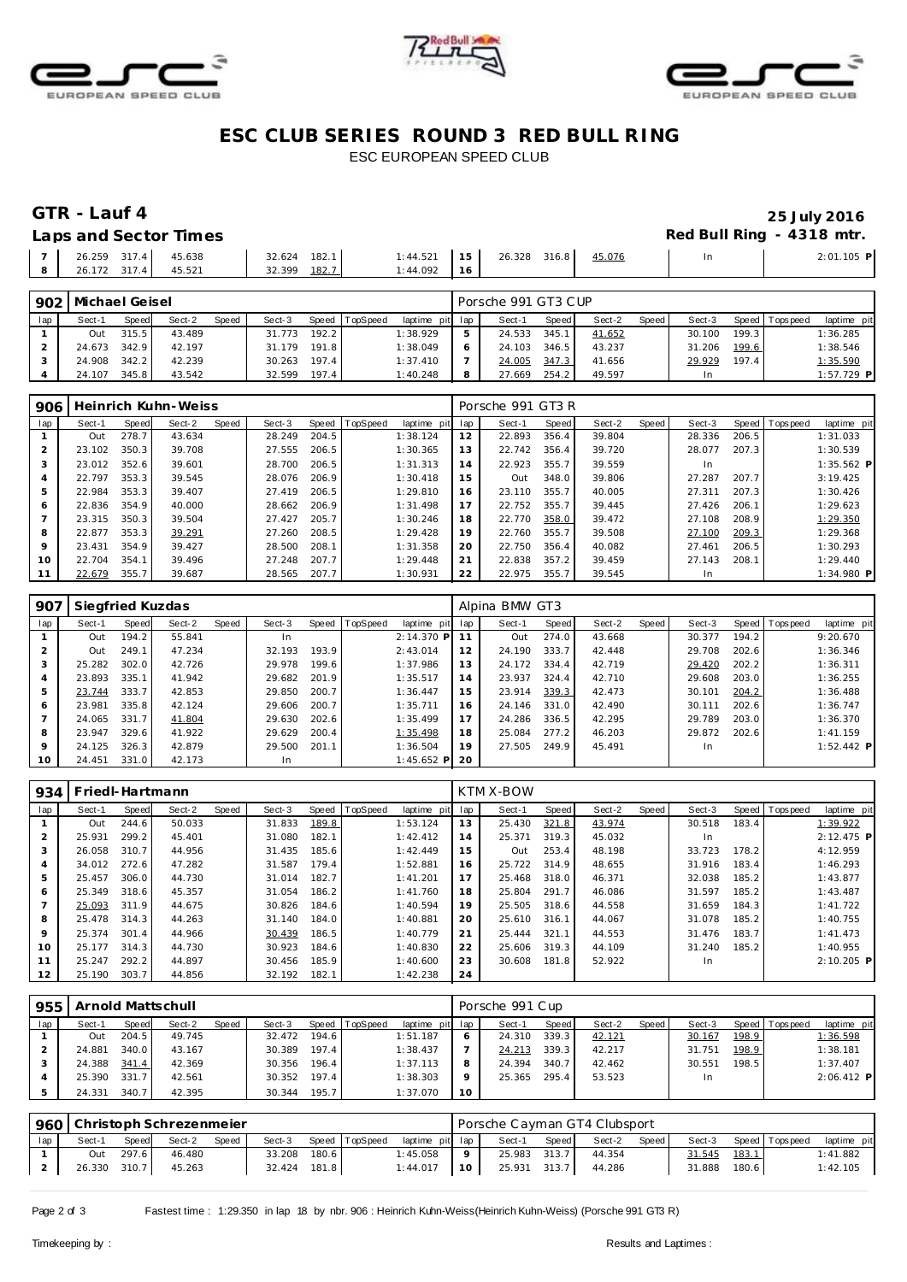





## ESC CLUB SERIES ROUND 3 RED BULL RING ESC EUROPEAN SPEED CLUB

## GTR - Lauf 4

#### Laps and Sector Times

### 25 July 2016 Red Bull Ring - 4318 mtr.

| $\overline{z}$ | 26.259 317.4    | 45.638 | 182.1<br>32.624 | 1:44.521 | 15  | 26.328 316.8 | 45.076 | 2:01.105 P |
|----------------|-----------------|--------|-----------------|----------|-----|--------------|--------|------------|
| 8              | 317.4<br>26.172 | 45.521 | 182.7<br>32.399 | 1:44.092 | 116 |              |        |            |
|                |                 |        |                 |          |     |              |        |            |

| 902 | Michael Geisel |       |        |              |        |       |                |                 | Porsche 991 GT3 CUP |       |        |       |        |       |                 |              |
|-----|----------------|-------|--------|--------------|--------|-------|----------------|-----------------|---------------------|-------|--------|-------|--------|-------|-----------------|--------------|
| lap | Sect-1         | Speed | Sect-2 | <b>Speed</b> | Sect-3 |       | Speed TopSpeed | laptime pit lap | Sect-1              | Speed | Sect-2 | Speed | Sect-3 |       | Speed Tops peed | laptime pit  |
|     | Out            | 315.5 | 43.489 |              | 31.773 | 192.2 |                | 1:38.929        | 24.533              | 345.1 | 41.652 |       | 30.100 | 199.3 |                 | 1:36.285     |
|     | 24.673         | 342.9 | 42.197 |              | 31.179 | 191.8 |                | 1:38.049        | 24.103              | 346.5 | 43.237 |       | 31.206 | 199.6 |                 | 1:38.546     |
|     | 24.908         | 342.2 | 42.239 |              | 30.263 | 197.4 |                | 1:37.410        | 24.005              | 347.3 | 41.656 |       | 29.929 | 197.4 |                 | 1:35.590     |
|     | 24.107         | 345.8 | 43.542 |              | 32.599 | 197.4 |                | 1:40.248        | 27.669              | 254.2 | 49.597 |       |        |       |                 | $1:57.729$ P |

| 906     |        |       | Heinrich Kuhn-Weiss |       |        |       |                |             |     | Porsche 991 GT3 R |       |        |       |        |       |                |              |
|---------|--------|-------|---------------------|-------|--------|-------|----------------|-------------|-----|-------------------|-------|--------|-------|--------|-------|----------------|--------------|
| lap     | Sect-1 | Speed | Sect-2              | Speed | Sect-3 |       | Speed TopSpeed | laptime pit | lap | Sect-1            | Speed | Sect-2 | Speed | Sect-3 |       | Speed Topspeed | laptime pit  |
|         | Out    | 278.7 | 43.634              |       | 28.249 | 204.5 |                | 1:38.124    | 12  | 22.893            | 356.4 | 39.804 |       | 28.336 | 206.5 |                | 1:31.033     |
|         | 23.102 | 350.3 | 39.708              |       | 27.555 | 206.5 |                | 1:30.365    | 13  | 22.742            | 356.4 | 39.720 |       | 28.077 | 207.3 |                | 1:30.539     |
| 3       | 23.012 | 352.6 | 39.601              |       | 28.700 | 206.5 |                | 1:31.313    | 14  | 22.923            | 355.7 | 39.559 |       | In.    |       |                | $1:35.562$ P |
| 4       | 22.797 | 353.3 | 39.545              |       | 28.076 | 206.9 |                | 1:30.418    | 15  | Out               | 348.0 | 39.806 |       | 27.287 | 207.7 |                | 3:19.425     |
| 5       | 22.984 | 353.3 | 39.407              |       | 27.419 | 206.5 |                | 1:29.810    | 16  | 23.110            | 355.7 | 40.005 |       | 27.311 | 207.3 |                | 1:30.426     |
| 6       | 22.836 | 354.9 | 40.000              |       | 28.662 | 206.9 |                | 1:31.498    | 17  | 22.752            | 355.7 | 39.445 |       | 27.426 | 206.1 |                | 1:29.623     |
|         | 23.315 | 350.3 | 39.504              |       | 27.427 | 205.7 |                | 1:30.246    | 18  | 22.770            | 358.0 | 39.472 |       | 27.108 | 208.9 |                | 1:29.350     |
| 8       | 22.877 | 353.3 | 39.291              |       | 27.260 | 208.5 |                | 1:29.428    | 19  | 22.760            | 355.7 | 39.508 |       | 27.100 | 209.3 |                | 1:29.368     |
| $\circ$ | 23.431 | 354.9 | 39.427              |       | 28.500 | 208.1 |                | 1:31.358    | 20  | 22.750            | 356.4 | 40.082 |       | 27.461 | 206.5 |                | 1:30.293     |
| 10      | 22.704 | 354.1 | 39.496              |       | 27.248 | 207.7 |                | 1:29.448    | 21  | 22.838            | 357.2 | 39.459 |       | 27.143 | 208.1 |                | 1:29.440     |
| 11      | 22.679 | 355.7 | 39.687              |       | 28.565 | 207.7 |                | 1:30.931    | 22  | 22.975            | 355.7 | 39.545 |       | In.    |       |                | $1:34.980$ P |

| 907     | Siegfried Kuzdas |       |        |       |        |       |                |              |     | Alpina BMW GT3 |       |        |       |        |       |                 |              |
|---------|------------------|-------|--------|-------|--------|-------|----------------|--------------|-----|----------------|-------|--------|-------|--------|-------|-----------------|--------------|
| lap     | Sect-1           | Speed | Sect-2 | Speed | Sect-3 |       | Speed TopSpeed | laptime pit  | lap | Sect-1         | Speed | Sect-2 | Speed | Sect-3 |       | Speed Tops peed | laptime pit  |
|         | Out              | 194.2 | 55.841 |       | In     |       |                | $2:14.370$ P |     | Out            | 274.0 | 43.668 |       | 30.377 | 194.2 |                 | 9:20.670     |
|         | Out              | 249.1 | 47.234 |       | 32.193 | 193.9 |                | 2:43.014     | 12  | 24.190         | 333.7 | 42.448 |       | 29.708 | 202.6 |                 | 1:36.346     |
| 3       | 25.282           | 302.0 | 42.726 |       | 29.978 | 199.6 |                | 1:37.986     | 13. | 24.172         | 334.4 | 42.719 |       | 29.420 | 202.2 |                 | 1:36.311     |
| 4       | 23.893           | 335.1 | 41.942 |       | 29.682 | 201.9 |                | 1:35.517     | 14  | 23.937         | 324.4 | 42.710 |       | 29.608 | 203.0 |                 | 1:36.255     |
| 5       | 23.744           | 333.7 | 42.853 |       | 29.850 | 200.7 |                | 1:36.447     | 15  | 23.914         | 339.3 | 42.473 |       | 30.101 | 204.2 |                 | 1:36.488     |
| 6       | 23.981           | 335.8 | 42.124 |       | 29.606 | 200.7 |                | 1:35.711     | 16  | 24.146         | 331.0 | 42.490 |       | 30.111 | 202.6 |                 | 1:36.747     |
|         | 24.065           | 331.7 | 41.804 |       | 29.630 | 202.6 |                | 1:35.499     | 17  | 24.286         | 336.5 | 42.295 |       | 29.789 | 203.0 |                 | 1:36.370     |
| 8       | 23.947           | 329.6 | 41.922 |       | 29.629 | 200.4 |                | 1:35.498     | 18  | 25.084         | 277.2 | 46.203 |       | 29.872 | 202.6 |                 | 1:41.159     |
| $\circ$ | 24.125           | 326.3 | 42.879 |       | 29.500 | 201.1 |                | 1:36.504     | 19  | 27.505         | 249.9 | 45.491 |       | In.    |       |                 | $1:52.442$ P |
| 10      | 24.451           | 331.0 | 42.173 |       | In     |       |                | $1:45.652$ P | 20  |                |       |        |       |        |       |                 |              |

| 934            | Friedl-Hartmann |       |        |       |        |       |                |             |     | KTM X-BOW |       |        |       |        |       |           |              |
|----------------|-----------------|-------|--------|-------|--------|-------|----------------|-------------|-----|-----------|-------|--------|-------|--------|-------|-----------|--------------|
| lap            | Sect-1          | Speed | Sect-2 | Speed | Sect-3 |       | Speed TopSpeed | laptime pit | lap | Sect-1    | Speed | Sect-2 | Speed | Sect-3 | Speed | Tops peed | laptime pit  |
|                | Out             | 244.6 | 50.033 |       | 31.833 | 189.8 |                | 1:53.124    | 13  | 25.430    | 321.8 | 43.974 |       | 30.518 | 183.4 |           | 1:39.922     |
| $\overline{2}$ | 25.931          | 299.2 | 45.401 |       | 31.080 | 182.1 |                | 1:42.412    | 14  | 25.371    | 319.3 | 45.032 |       | In.    |       |           | $2:12.475$ P |
| 3              | 26.058          | 310.7 | 44.956 |       | 31.435 | 185.6 |                | 1:42.449    | 15  | Out       | 253.4 | 48.198 |       | 33.723 | 178.2 |           | 4:12.959     |
| 4              | 34.012          | 272.6 | 47.282 |       | 31.587 | 179.4 |                | 1:52.881    | 16  | 25.722    | 314.9 | 48.655 |       | 31.916 | 183.4 |           | 1:46.293     |
| 5              | 25.457          | 306.0 | 44.730 |       | 31.014 | 182.7 |                | 1:41.201    | 17  | 25.468    | 318.0 | 46.371 |       | 32.038 | 185.2 |           | 1:43.877     |
| 6              | 25.349          | 318.6 | 45.357 |       | 31.054 | 186.2 |                | 1:41.760    | 18  | 25.804    | 291.7 | 46.086 |       | 31.597 | 185.2 |           | 1:43.487     |
| 7              | 25.093          | 311.9 | 44.675 |       | 30.826 | 184.6 |                | 1:40.594    | 19  | 25.505    | 318.6 | 44.558 |       | 31.659 | 184.3 |           | 1:41.722     |
| 8              | 25.478          | 314.3 | 44.263 |       | 31.140 | 184.0 |                | 1:40.881    | 20  | 25.610    | 316.1 | 44.067 |       | 31.078 | 185.2 |           | 1:40.755     |
| 9              | 25.374          | 301.4 | 44.966 |       | 30.439 | 186.5 |                | 1:40.779    | 21  | 25.444    | 321.1 | 44.553 |       | 31.476 | 183.7 |           | 1:41.473     |
| 10             | 25.177          | 314.3 | 44.730 |       | 30.923 | 184.6 |                | 1:40.830    | 22  | 25.606    | 319.3 | 44.109 |       | 31.240 | 185.2 |           | 1:40.955     |
| 11             | 25.247          | 292.2 | 44.897 |       | 30.456 | 185.9 |                | 1:40.600    | 23  | 30.608    | 181.8 | 52.922 |       | In.    |       |           | $2:10.205$ P |
| 12             | 25.190          | 303.7 | 44.856 |       | 32.192 | 182.1 |                | 1:42.238    | 24  |           |       |        |       |        |       |           |              |

| 955 | Arnold Mattschull |       |        |       |        |       |                |             | Porsche 991 Cup |        |       |        |       |        |       |                |              |
|-----|-------------------|-------|--------|-------|--------|-------|----------------|-------------|-----------------|--------|-------|--------|-------|--------|-------|----------------|--------------|
| lap | Sect-1            | Speed | Sect-2 | Speed | Sect-3 |       | Speed TopSpeed | laptime pit | lap             | Sect-1 | Speed | Sect-2 | Speed | Sect-3 |       | Speed Topspeed | laptime pit  |
|     | Out               | 204.5 | 49.745 |       | 32.472 | 194.6 |                | 1:51.187    | 6               | 24.310 | 339.3 | 42.121 |       | 30.167 | 198.9 |                | 1:36.598     |
|     | 24.881            | 340.0 | 43.167 |       | 30.389 | 197.4 |                | 1:38.437    |                 | 24.213 | 339.3 | 42.217 |       | 31.751 | 198.9 |                | 1:38.181     |
|     | 24.388            | 341.4 | 42.369 |       | 30.356 | 196.4 |                | 1:37.113    | 8               | 24.394 | 340.7 | 42.462 |       | 30.551 | 198.5 |                | 1:37.407     |
|     | 25.390            | 331.7 | 42.561 |       | 30.352 | 197.4 |                | 1:38.303    | $\circ$         | 25.365 | 295.4 | 53.523 |       | In.    |       |                | $2:06.412$ P |
|     | 24.331            | 340.7 | 42.395 |       | 30.344 | 195.7 |                | 1:37.070    | 10 <sup>°</sup> |        |       |        |       |        |       |                |              |

|     | 960   Christoph Schrezenmeier |       |        |        |              |       |                |                 | Porsche Cayman GT4 Clubsport |              |       |        |       |        |       |                   |             |
|-----|-------------------------------|-------|--------|--------|--------------|-------|----------------|-----------------|------------------------------|--------------|-------|--------|-------|--------|-------|-------------------|-------------|
| lap | Sect-1                        | Speed | Sect-2 | Speed. | Sect-3       |       | Speed TopSpeed | laptime pit lap |                              | Sect-1       | Speed | Sect-2 | Speed | Sect-3 |       | Speed   Tops peed | laptime pit |
|     | Out                           | 297.6 | 46.480 |        | 33.208       | 180.6 |                | 1:45.058        | $\circ$                      | 25.983 313.7 |       | 44.354 |       | 31.545 | 183.1 |                   | 1:41.882    |
|     | 26.330 310.7                  |       | 45.263 |        | 32.424 181.8 |       |                | 1:44.017        | 10 <sup>1</sup>              | 25.931 313.7 |       | 44.286 |       | 31.888 | 180.6 |                   | 1:42.105    |

Page 2 of 3

Fastest time: 1:29.350 in lap 18 by nbr. 906 : Heinrich Kuhn-Weiss (Heinrich Kuhn-Weiss) (Porsche 991 GT3 R)